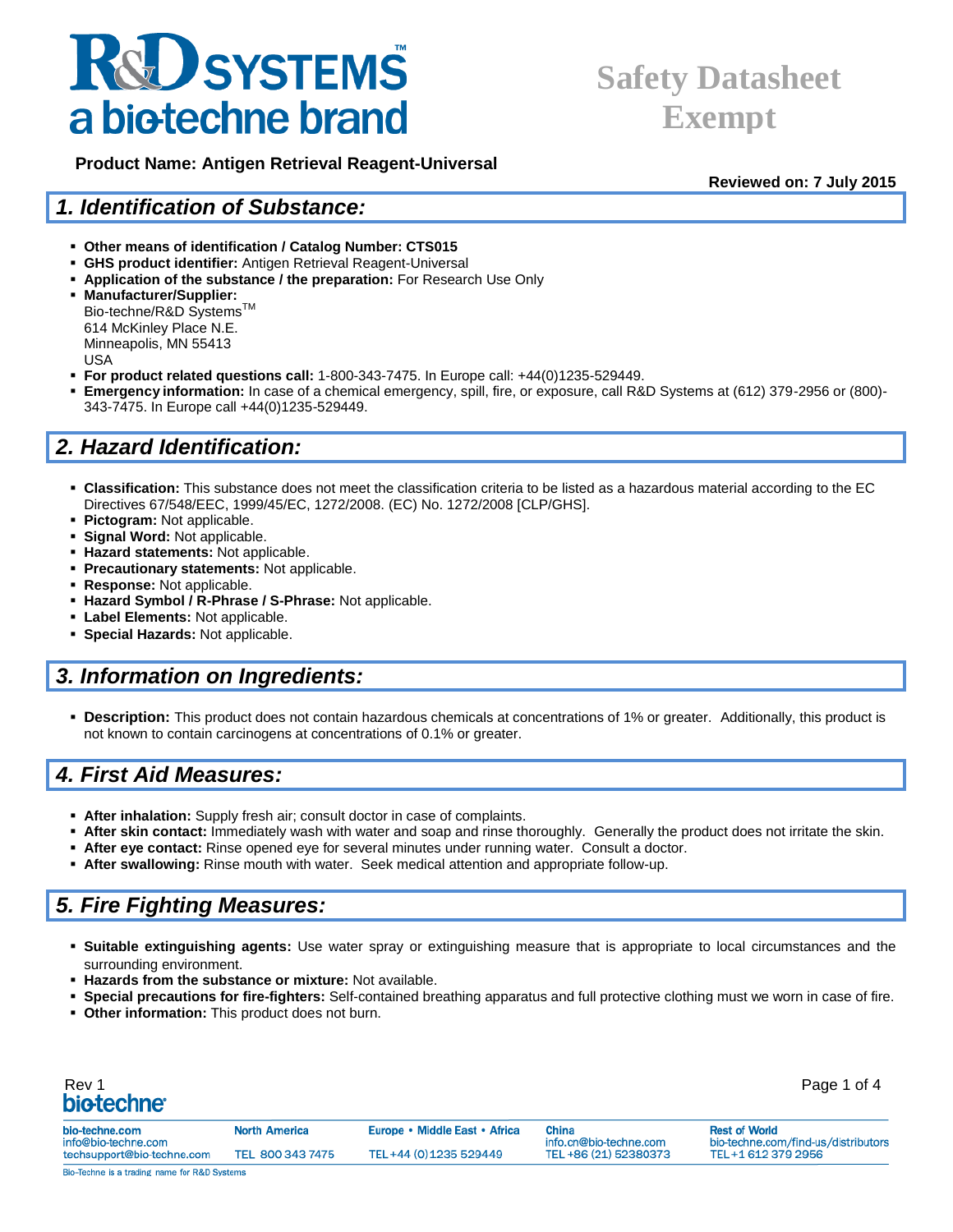### **Safety Datasheet Exempt**

 **Product Name: Antigen Retrieval Reagent-Universal**

**Reviewed on: 7 July 2015**

#### *1. Identification of Substance:*

- **Other means of identification / Catalog Number: CTS015**
- **GHS product identifier:** Antigen Retrieval Reagent-Universal
- **Application of the substance / the preparation:** For Research Use Only

 **Manufacturer/Supplier:** Bio-techne/R&D Systems<sup>™</sup> 614 McKinley Place N.E. Minneapolis, MN 55413 USA

- **For product related questions call:** 1-800-343-7475. In Europe call: +44(0)1235-529449.
- **Emergency information:** In case of a chemical emergency, spill, fire, or exposure, call R&D Systems at (612) 379-2956 or (800)- 343-7475. In Europe call +44(0)1235-529449.

### *2. Hazard Identification:*

- **Classification:** This substance does not meet the classification criteria to be listed as a hazardous material according to the EC Directives 67/548/EEC, 1999/45/EC, 1272/2008. (EC) No. 1272/2008 [CLP/GHS].
- **Pictogram:** Not applicable.
- **Signal Word: Not applicable.**
- **Hazard statements:** Not applicable.
- **Precautionary statements:** Not applicable.
- **Response:** Not applicable.
- **Hazard Symbol / R-Phrase / S-Phrase:** Not applicable.
- **Label Elements:** Not applicable.
- **Special Hazards:** Not applicable.

### *3. Information on Ingredients:*

 **Description:** This product does not contain hazardous chemicals at concentrations of 1% or greater. Additionally, this product is not known to contain carcinogens at concentrations of 0.1% or greater.

### *4. First Aid Measures:*

- **After inhalation:** Supply fresh air; consult doctor in case of complaints.
- **After skin contact:** Immediately wash with water and soap and rinse thoroughly. Generally the product does not irritate the skin.
- **After eye contact:** Rinse opened eye for several minutes under running water. Consult a doctor.
- **After swallowing:** Rinse mouth with water. Seek medical attention and appropriate follow-up.

### *5. Fire Fighting Measures:*

- **Suitable extinguishing agents:** Use water spray or extinguishing measure that is appropriate to local circumstances and the surrounding environment.
- **Hazards from the substance or mixture:** Not available.
- **Special precautions for fire-fighters:** Self-contained breathing apparatus and full protective clothing must we worn in case of fire.
- **Other information:** This product does not burn.

| Rev 1<br>biotechne <sup>®</sup>       |                      |                               |                                 | Page 1 of 4                                                 |
|---------------------------------------|----------------------|-------------------------------|---------------------------------|-------------------------------------------------------------|
| bio-techne.com<br>info@bio-techne.com | <b>North America</b> | Europe • Middle East • Africa | China<br>info.cn@bio-techne.com | <b>Rest of World</b><br>bio-techne.com/find-us/distributors |
| techsupport@bio-techne.com            | TEL 800 343 7475     | TEL+44 (0) 1235 529449        | TEL +86 (21) 52380373           | TEL+1 612 379 2956                                          |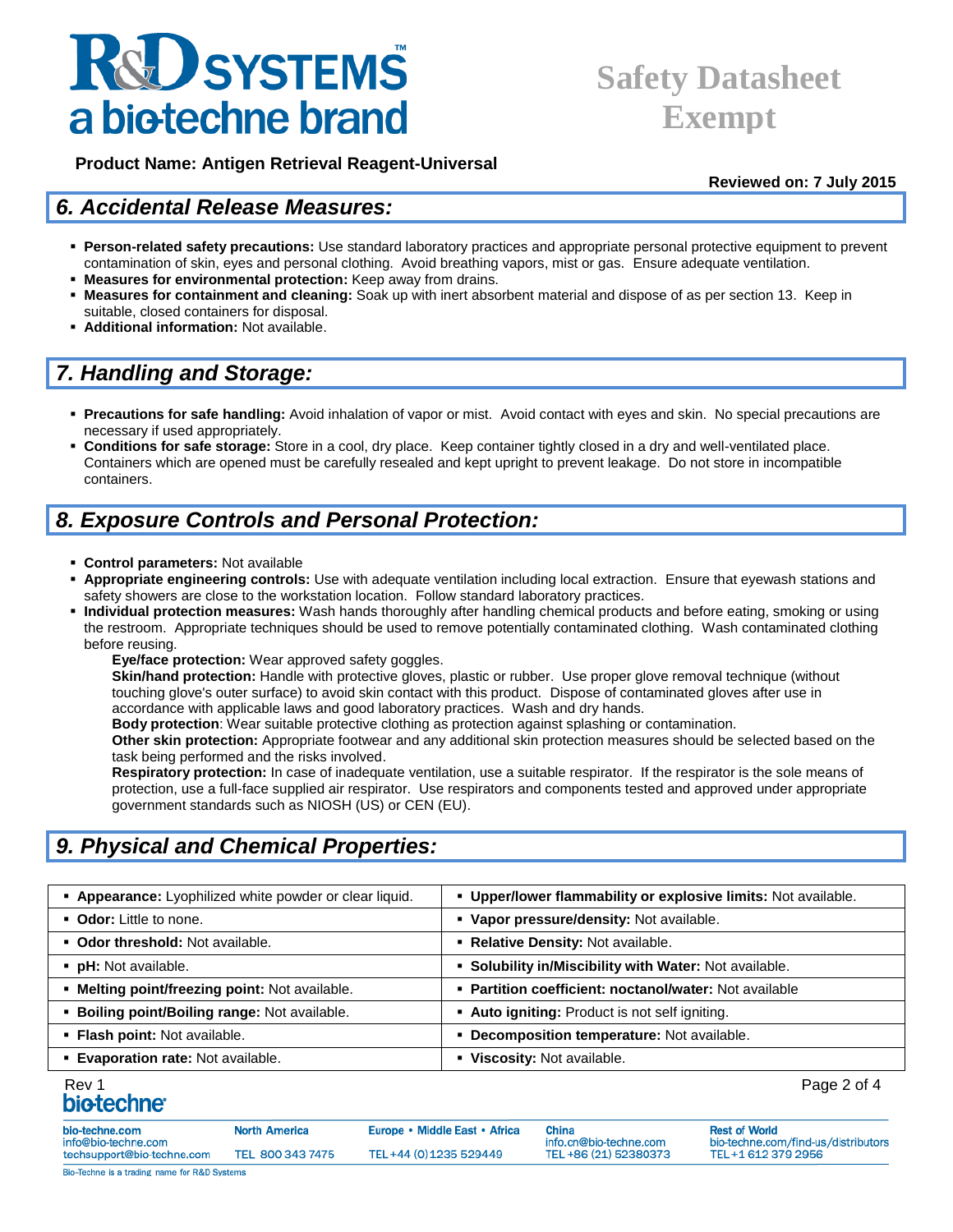### **Safety Datasheet Exempt**

 **Product Name: Antigen Retrieval Reagent-Universal**

**Reviewed on: 7 July 2015**

### *6. Accidental Release Measures:*

- **Person-related safety precautions:** Use standard laboratory practices and appropriate personal protective equipment to prevent contamination of skin, eyes and personal clothing. Avoid breathing vapors, mist or gas. Ensure adequate ventilation.
- **Measures for environmental protection:** Keep away from drains.
- **Measures for containment and cleaning:** Soak up with inert absorbent material and dispose of as per section 13. Keep in suitable, closed containers for disposal.
- **Additional information:** Not available.

### *7. Handling and Storage:*

- **Precautions for safe handling:** Avoid inhalation of vapor or mist. Avoid contact with eyes and skin. No special precautions are necessary if used appropriately.
- **Conditions for safe storage:** Store in a cool, dry place. Keep container tightly closed in a dry and well-ventilated place. Containers which are opened must be carefully resealed and kept upright to prevent leakage. Do not store in incompatible containers.

### *8. Exposure Controls and Personal Protection:*

- **Control parameters:** Not available
- **Appropriate engineering controls:** Use with adequate ventilation including local extraction. Ensure that eyewash stations and safety showers are close to the workstation location. Follow standard laboratory practices.
- **Individual protection measures:** Wash hands thoroughly after handling chemical products and before eating, smoking or using the restroom. Appropriate techniques should be used to remove potentially contaminated clothing. Wash contaminated clothing before reusing.

**Eye/face protection:** Wear approved safety goggles.

**Skin/hand protection:** Handle with protective gloves, plastic or rubber. Use proper glove removal technique (without touching glove's outer surface) to avoid skin contact with this product. Dispose of contaminated gloves after use in accordance with applicable laws and good laboratory practices. Wash and dry hands.

**Body protection**: Wear suitable protective clothing as protection against splashing or contamination.

**Other skin protection:** Appropriate footwear and any additional skin protection measures should be selected based on the task being performed and the risks involved.

**Respiratory protection:** In case of inadequate ventilation, use a suitable respirator. If the respirator is the sole means of protection, use a full-face supplied air respirator. Use respirators and components tested and approved under appropriate government standards such as NIOSH (US) or CEN (EU).

### *9. Physical and Chemical Properties:*

| Appearance: Lyophilized white powder or clear liquid. | • Upper/lower flammability or explosive limits: Not available. |
|-------------------------------------------------------|----------------------------------------------------------------|
| • Odor: Little to none.                               | • Vapor pressure/density: Not available.                       |
| • Odor threshold: Not available.                      | • Relative Density: Not available.                             |
| <b>pH:</b> Not available.                             | • Solubility in/Miscibility with Water: Not available.         |
| • Melting point/freezing point: Not available.        | • Partition coefficient: noctanol/water: Not available         |
| <b>· Boiling point/Boiling range: Not available.</b>  | • Auto igniting: Product is not self igniting.                 |
| • Flash point: Not available.                         | • Decomposition temperature: Not available.                    |
| <b>Evaporation rate: Not available.</b>               | • Viscosity: Not available.                                    |

## Rev 1 Page 2 of 4

bio-tech info@bio

techsup

| ne.com                             | <b>North America</b> | Europe • Middle East • Africa | <b>China</b>                                    | <b>Rest of World</b>                                      |
|------------------------------------|----------------------|-------------------------------|-------------------------------------------------|-----------------------------------------------------------|
| -techne.com<br>port@bio-techne.com | TEL 800 343 7475     | TEL+44 (0) 1235 529449        | info.cn@bio-techne.com<br>TEL +86 (21) 52380373 | bio-techne.com/find-us/distributors<br>TEL+1 612 379 2956 |
|                                    |                      |                               |                                                 |                                                           |

Bio-Techne is a trading name for R&D Systems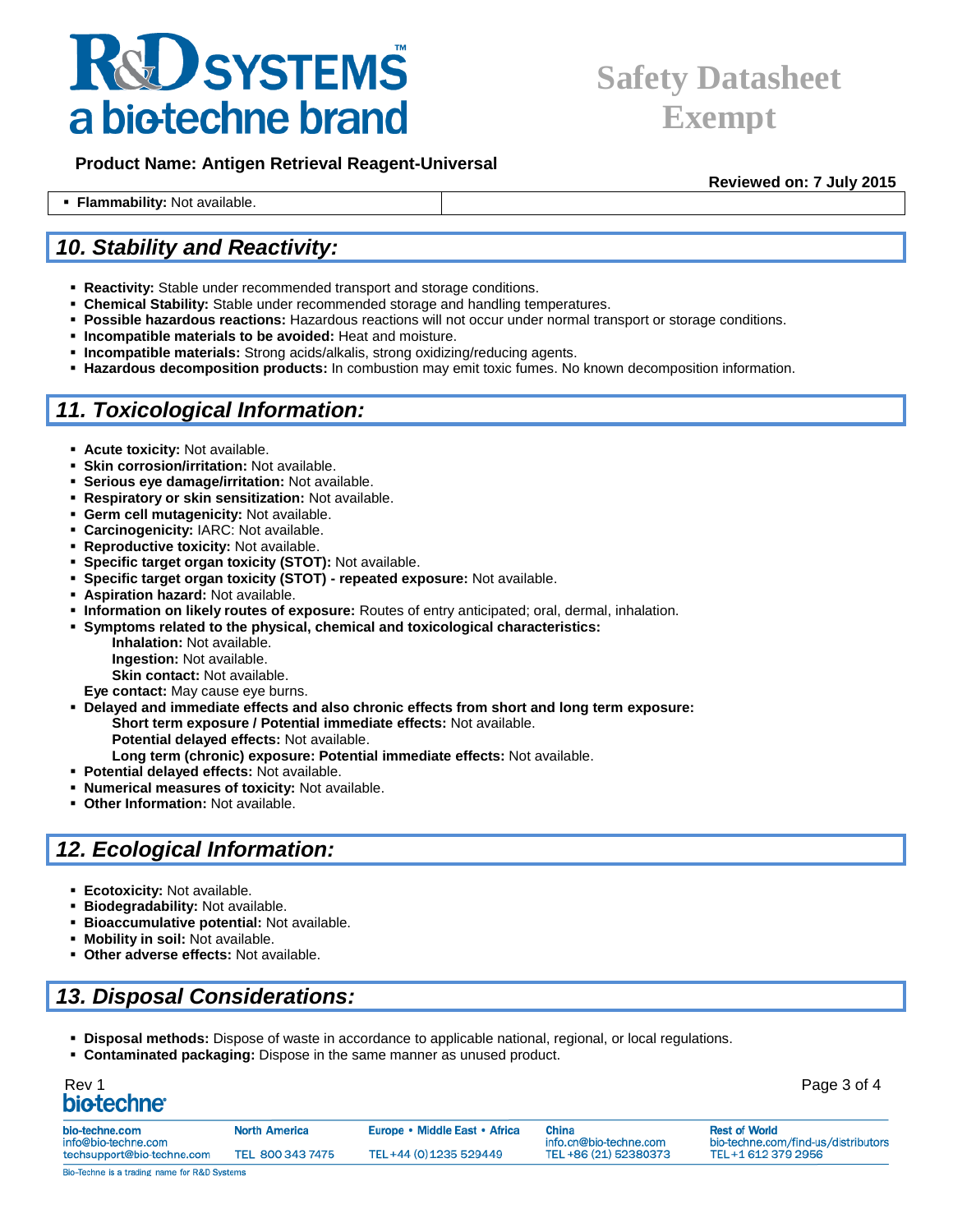### **Safety Datasheet Exempt**

 **Product Name: Antigen Retrieval Reagent-Universal**

**Reviewed on: 7 July 2015**

### *10. Stability and Reactivity:*

**Flammability:** Not available.

- **Reactivity:** Stable under recommended transport and storage conditions.
- **Chemical Stability:** Stable under recommended storage and handling temperatures.
- **Possible hazardous reactions:** Hazardous reactions will not occur under normal transport or storage conditions.
- **Incompatible materials to be avoided:** Heat and moisture.
- **Incompatible materials:** Strong acids/alkalis, strong oxidizing/reducing agents.
- **Hazardous decomposition products:** In combustion may emit toxic fumes. No known decomposition information.

#### *11. Toxicological Information:*

- **Acute toxicity:** Not available.
- **Skin corrosion/irritation:** Not available.
- **Serious eye damage/irritation:** Not available.
- **Respiratory or skin sensitization:** Not available.
- **Germ cell mutagenicity:** Not available.
- **Carcinogenicity:** IARC: Not available.
- **Reproductive toxicity:** Not available.
- **Specific target organ toxicity (STOT):** Not available.
- **Specific target organ toxicity (STOT) - repeated exposure:** Not available.
- **Aspiration hazard:** Not available.
- **Information on likely routes of exposure:** Routes of entry anticipated; oral, dermal, inhalation.
- **Symptoms related to the physical, chemical and toxicological characteristics:**

**Inhalation:** Not available. **Ingestion:** Not available. **Skin contact: Not available.** 

- **Eye contact:** May cause eye burns.
- **Delayed and immediate effects and also chronic effects from short and long term exposure: Short term exposure / Potential immediate effects:** Not available. **Potential delayed effects:** Not available.
	- **Long term (chronic) exposure: Potential immediate effects:** Not available.
- **Potential delayed effects:** Not available.
- **Numerical measures of toxicity:** Not available.
- **Other Information:** Not available.

### *12. Ecological Information:*

- **Ecotoxicity:** Not available.
- **Biodegradability: Not available.**
- **Bioaccumulative potential: Not available.**
- **Mobility in soil: Not available.**
- **Other adverse effects:** Not available.

### *13. Disposal Considerations:*

- **Disposal methods:** Dispose of waste in accordance to applicable national, regional, or local regulations.
- **Contaminated packaging:** Dispose in the same manner as unused product.

## Rev 1 Page 3 of 4

| bio-techne.com<br>info@bio-techne.com | North America    | Europe • Middle East • Africa | <b>China</b>                                    | <b>Rest of World</b><br>bio-techne.com/find-us/distributors |
|---------------------------------------|------------------|-------------------------------|-------------------------------------------------|-------------------------------------------------------------|
| techsupport@bio-techne.com            | TEL 800 343 7475 | TEL+44 (0) 1235 529449        | info.cn@bio-techne.com<br>TEL +86 (21) 52380373 | TEL+1 612 379 2956                                          |